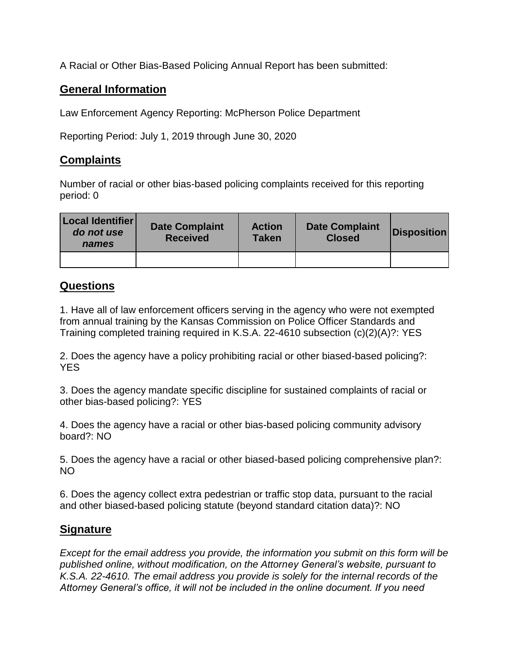A Racial or Other Bias-Based Policing Annual Report has been submitted:

## **General Information**

Law Enforcement Agency Reporting: McPherson Police Department

Reporting Period: July 1, 2019 through June 30, 2020

## **Complaints**

Number of racial or other bias-based policing complaints received for this reporting period: 0

| Local Identifier<br>do not use<br>names | <b>Date Complaint</b><br><b>Received</b> | <b>Action</b><br><b>Taken</b> | <b>Date Complaint</b><br><b>Closed</b> | <b>Disposition</b> |
|-----------------------------------------|------------------------------------------|-------------------------------|----------------------------------------|--------------------|
|                                         |                                          |                               |                                        |                    |

## **Questions**

1. Have all of law enforcement officers serving in the agency who were not exempted from annual training by the Kansas Commission on Police Officer Standards and Training completed training required in K.S.A. 22-4610 subsection (c)(2)(A)?: YES

2. Does the agency have a policy prohibiting racial or other biased-based policing?: YES

3. Does the agency mandate specific discipline for sustained complaints of racial or other bias-based policing?: YES

4. Does the agency have a racial or other bias-based policing community advisory board?: NO

5. Does the agency have a racial or other biased-based policing comprehensive plan?: NO

6. Does the agency collect extra pedestrian or traffic stop data, pursuant to the racial and other biased-based policing statute (beyond standard citation data)?: NO

## **Signature**

*Except for the email address you provide, the information you submit on this form will be published online, without modification, on the Attorney General's website, pursuant to K.S.A. 22-4610. The email address you provide is solely for the internal records of the Attorney General's office, it will not be included in the online document. If you need*